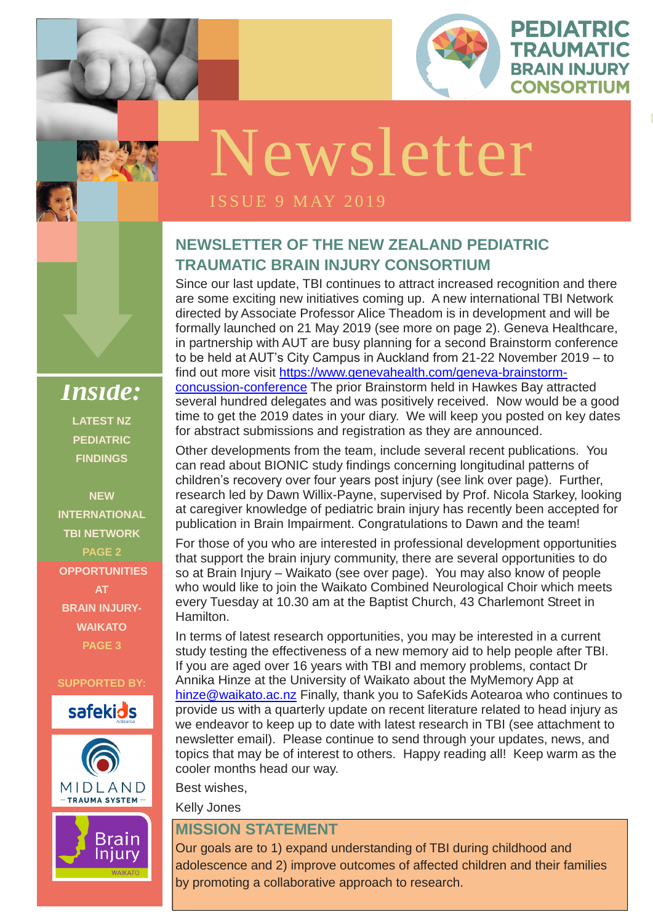

PEDIATRIC

**TRAUMATIC** 

**BRAIN INJURY** 

**CONSORTIUM** 

**ISSUE 1 OCTOBER** 

#### **NEWSLETTER OF THE NEW ZEALAND PEDIATRIC TRAUMATIC BRAIN INJURY CONSORTIUM**

Since our last update, TBI continues to attract increased recognition and there are some exciting new initiatives coming up. A new international TBI Network directed by Associate Professor Alice Theadom is in development and will be formally launched on 21 May 2019 (see more on page 2). Geneva Healthcare, in partnership with AUT are busy planning for a second Brainstorm conference to be held at AUT's City Campus in Auckland from 21-22 November 2019 – to find out more visit [https://www.genevahealth.com/geneva-brainstorm](https://www.genevahealth.com/geneva-brainstorm-concussion-conference)[concussion-conference](https://www.genevahealth.com/geneva-brainstorm-concussion-conference) The prior Brainstorm held in Hawkes Bay attracted several hundred delegates and was positively received. Now would be a good time to get the 2019 dates in your diary. We will keep you posted on key dates for abstract submissions and registration as they are announced.

who would like to join the waikato Combined Neurological Choir which meer<br>every Tuesday at 10.30 am at the Baptist Church, 43 Charlemont Street in For those of you who are interested in professional development opportunities that support the brain injury community, there are several opportunities to do so at Brain Injury – Waikato (see over page). You may also know of people who would like to join the Waikato Combined Neurological Choir which meets Hamilton.

Other developments from the team, include several recent publications. You can read about BIONIC study findings concerning longitudinal patterns of children's recovery over four years post injury (see link over page). Further, research led by Dawn Willix-Payne, supervised by Prof. Nicola Starkey, looking at caregiver knowledge of pediatric brain injury has recently been accepted for publication in Brain Impairment. Congratulations to Dawn and the team!

In terms of latest research opportunities, you may be interested in a current study testing the effectiveness of a new memory aid to help people after TBI. If you are aged over 16 years with TBI and memory problems, contact Dr Annika Hinze at the University of Waikato about the MyMemory App at [hinze@waikato.ac.nz](mailto:hinze@waikato.ac.nz) Finally, thank you to SafeKids Aotearoa who continues to provide us with a quarterly update on recent literature related to head injury as we endeavor to keep up to date with latest research in TBI (see attachment to newsletter email). Please continue to send through your updates, news, and topics that may be of interest to others. Happy reading all! Keep warm as the cooler months head our way.

Best wishes,

Kelly Jones

#### **MISSION STATEMENT**

Our goals are to 1) expand understanding of TBI during childhood and adolescence and 2) improve outcomes of affected children and their families by promoting a collaborative approach to research.

*Inside:* **LATEST NZ PEDIATRIC FINDINGS** 

**NEW INTERNATIONAL TBI NETWORK PAGE 2 OPPORTUNITIES AT BRAIN INJURY-WAIKATO PAGE 3**

**SUPPORTED BY:**







# Newsletter

#### **ISSUE 9 MAY 2019**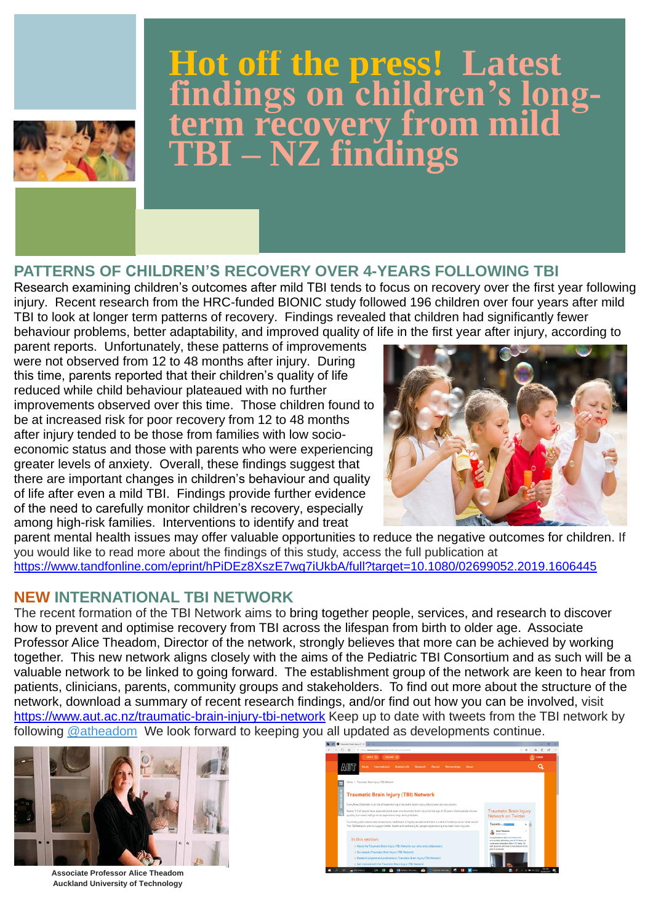#### **PATTERNS OF CHILDREN'S RECOVERY OVER 4-YEARS FOLLOWING TBI**

Research examining children's outcomes after mild TBI tends to focus on recovery over the first year following injury. Recent research from the HRC-funded BIONIC study followed 196 children over four years after mild TBI to look at longer term patterns of recovery. Findings revealed that children had significantly fewer behaviour problems, better adaptability, and improved quality of life in the first year after injury, according to

The recent formation of the TBI Network aims to bring together people, services, and research to discover how to prevent and optimise recovery from TBI across the lifespan from birth to older age. Associate Professor Alice Theadom, Director of the network, strongly believes that more can be achieved by working together. This new network aligns closely with the aims of the Pediatric TBI Consortium and as such will be a valuable network to be linked to going forward. The establishment group of the network are keen to hear from patients, clinicians, parents, community groups and stakeholders. To find out more about the structure of the network, download a summary of recent research findings, and/or find out how you can be involved, visit <https://www.aut.ac.nz/traumatic-brain-injury-tbi-network> Keep up to date with tweets from the TBI network by following [@atheadom](https://twitter.com/atheadom) We look forward to keeping you all updated as developments continue.

parent reports. Unfortunately, these patterns of improvements were not observed from 12 to 48 months after injury. During this time, parents reported that their children's quality of life reduced while child behaviour plateaued with no further improvements observed over this time. Those children found to be at increased risk for poor recovery from 12 to 48 months after injury tended to be those from families with low socioeconomic status and those with parents who were experiencing greater levels of anxiety. Overall, these findings suggest that there are important changes in children's behaviour and quality of life after even a mild TBI. Findings provide further evidence of the need to carefully monitor children's recovery, especially among high-risk families. Interventions to identify and treat



parent mental health issues may offer valuable opportunities to reduce the negative outcomes for children. If you would like to read more about the findings of this study, access the full publication at <https://www.tandfonline.com/eprint/hPiDEz8XszE7wg7iUkbA/full?target=10.1080/02699052.2019.1606445>

#### **NEW INTERNATIONAL TBI NETWORK**



## **Hot off the press! Latest findings on children's longterm recovery from mild TBI – NZ findings**



**Associate Professor Alice Theadom Auckland University of Technology**